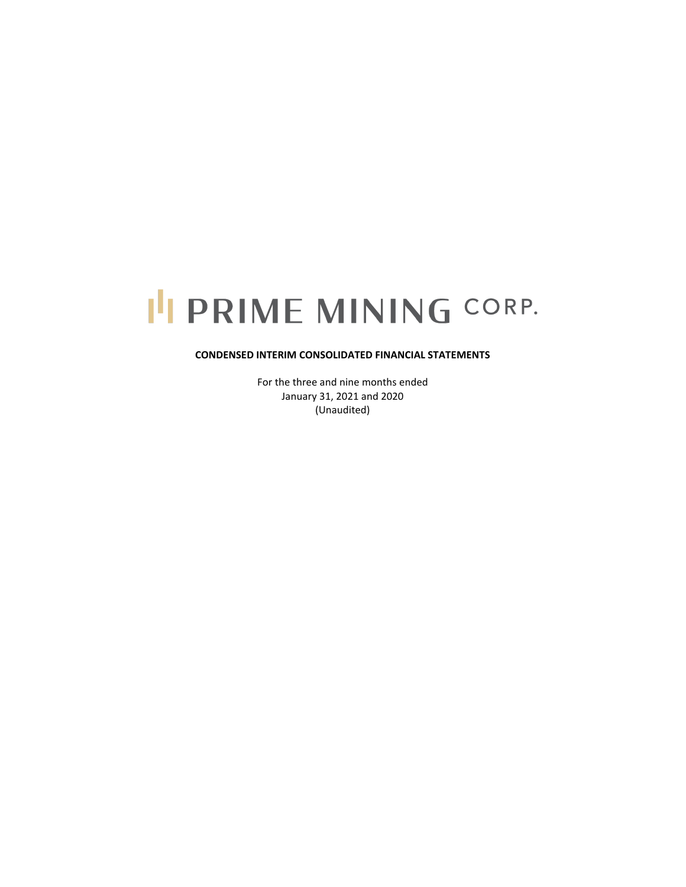# I'I PRIME MINING CORP.

# **CONDENSED INTERIM CONSOLIDATED FINANCIAL STATEMENTS**

For the three and nine months ended January 31, 2021 and 2020 (Unaudited)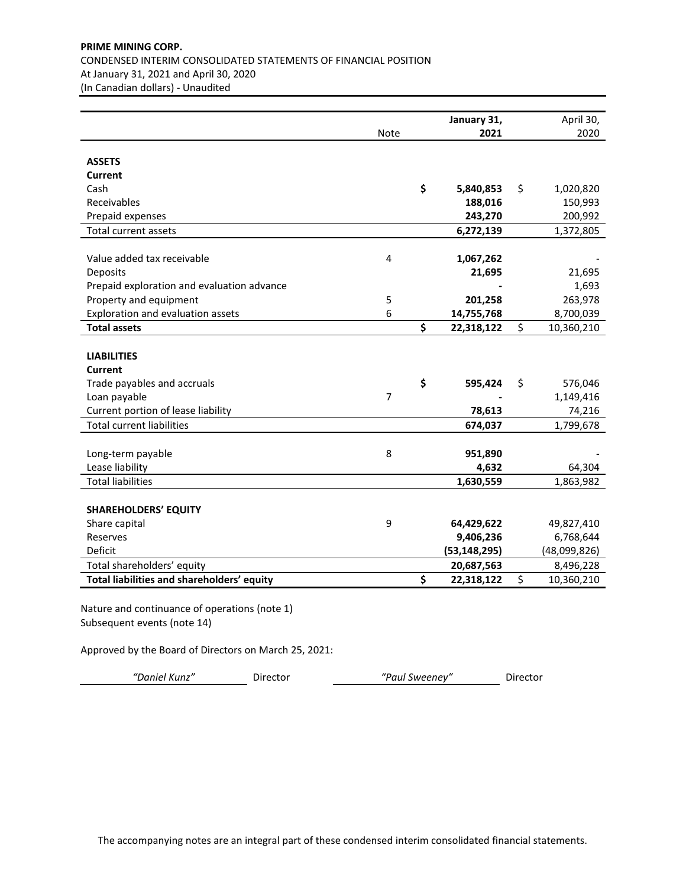# **PRIME MINING CORP.** CONDENSED INTERIM CONSOLIDATED STATEMENTS OF FINANCIAL POSITION At January 31, 2021 and April 30, 2020 (In Canadian dollars) - Unaudited

|                                               |                | January 31,      | April 30,        |
|-----------------------------------------------|----------------|------------------|------------------|
|                                               | <b>Note</b>    | 2021             | 2020             |
| <b>ASSETS</b>                                 |                |                  |                  |
| Current                                       |                |                  |                  |
| Cash                                          |                | \$<br>5,840,853  | \$<br>1,020,820  |
| Receivables                                   |                | 188,016          | 150,993          |
| Prepaid expenses                              |                | 243,270          | 200,992          |
| <b>Total current assets</b>                   |                | 6,272,139        | 1,372,805        |
|                                               |                |                  |                  |
| Value added tax receivable                    | 4              | 1,067,262        |                  |
| Deposits                                      |                | 21,695           | 21,695           |
| Prepaid exploration and evaluation advance    |                |                  | 1,693            |
| Property and equipment                        | 5              | 201,258          | 263,978          |
| Exploration and evaluation assets             | 6              | 14,755,768       | 8,700,039        |
| <b>Total assets</b>                           |                | \$<br>22,318,122 | \$<br>10,360,210 |
|                                               |                |                  |                  |
| <b>LIABILITIES</b>                            |                |                  |                  |
| Current                                       |                |                  |                  |
| Trade payables and accruals                   |                | \$<br>595,424    | \$<br>576,046    |
| Loan payable                                  | $\overline{7}$ |                  | 1,149,416        |
| Current portion of lease liability            |                | 78,613           | 74,216           |
| <b>Total current liabilities</b>              |                | 674,037          | 1,799,678        |
| Long-term payable                             | 8              | 951,890          |                  |
| Lease liability                               |                | 4,632            | 64,304           |
| <b>Total liabilities</b>                      |                | 1,630,559        | 1,863,982        |
|                                               |                |                  |                  |
| <b>SHAREHOLDERS' EQUITY</b>                   |                |                  |                  |
| Share capital                                 | 9              | 64,429,622       | 49,827,410       |
| Reserves                                      |                | 9,406,236        | 6,768,644        |
| Deficit                                       |                | (53, 148, 295)   | (48,099,826)     |
| Total shareholders' equity                    |                | 20,687,563       | 8,496,228        |
| Total liabilities and shareholders' equity    |                | \$<br>22,318,122 | \$<br>10,360,210 |
| Nature and continuance of operations (note 1) |                |                  |                  |

Subsequent events (note 14)

Approved by the Board of Directors on March 25, 2021:

*"Daniel Kunz"* Director *"Paul Sweeney"* Director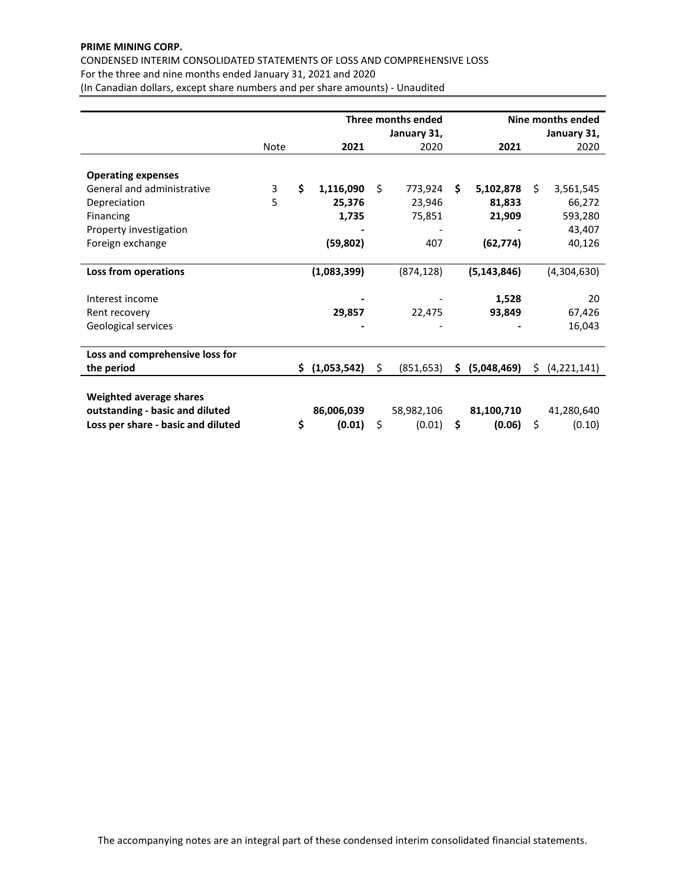# **PRIME MINING CORP.**

CONDENSED INTERIM CONSOLIDATED STATEMENTS OF LOSS AND COMPREHENSIVE LOSS For the three and nine months ended January 31, 2021 and 2020

(In Canadian dollars, except share numbers and per share amounts) - Unaudited

|                                    | Three months ended |    |               |    |             |     | Nine months ended |     |             |  |
|------------------------------------|--------------------|----|---------------|----|-------------|-----|-------------------|-----|-------------|--|
|                                    |                    |    |               |    | January 31, |     |                   |     | January 31, |  |
|                                    | <b>Note</b>        |    | 2021          |    | 2020        |     | 2021              |     | 2020        |  |
|                                    |                    |    |               |    |             |     |                   |     |             |  |
| <b>Operating expenses</b>          |                    |    |               |    |             |     |                   |     |             |  |
| General and administrative         | 3                  | \$ | 1,116,090     | Ś. | 773,924     | Ś.  | 5,102,878         | Ŝ.  | 3,561,545   |  |
| Depreciation                       | 5                  |    | 25,376        |    | 23,946      |     | 81,833            |     | 66,272      |  |
| Financing                          |                    |    | 1,735         |    | 75,851      |     | 21,909            |     | 593,280     |  |
| Property investigation             |                    |    |               |    |             |     |                   |     | 43,407      |  |
| Foreign exchange                   |                    |    | (59, 802)     |    | 407         |     | (62, 774)         |     | 40,126      |  |
|                                    |                    |    |               |    |             |     |                   |     |             |  |
| Loss from operations               |                    |    | (1,083,399)   |    | (874, 128)  |     | (5, 143, 846)     |     | (4,304,630) |  |
|                                    |                    |    |               |    |             |     |                   |     |             |  |
| Interest income                    |                    |    |               |    |             |     | 1,528             |     | 20          |  |
| Rent recovery                      |                    |    | 29,857        |    | 22,475      |     | 93,849            |     | 67,426      |  |
| Geological services                |                    |    |               |    |             |     |                   |     | 16,043      |  |
|                                    |                    |    |               |    |             |     |                   |     |             |  |
| Loss and comprehensive loss for    |                    |    |               |    |             |     |                   |     |             |  |
| the period                         |                    |    | \$(1,053,542) | \$ | (851, 653)  | \$. | (5,048,469)       | \$. | (4,221,141) |  |
|                                    |                    |    |               |    |             |     |                   |     |             |  |
| Weighted average shares            |                    |    |               |    |             |     |                   |     |             |  |
| outstanding - basic and diluted    |                    |    | 86,006,039    |    | 58,982,106  |     | 81,100,710        |     | 41,280,640  |  |
| Loss per share - basic and diluted |                    | \$ | (0.01)        | \$ | (0.01)      | \$  | (0.06)            | \$  | (0.10)      |  |
|                                    |                    |    |               |    |             |     |                   |     |             |  |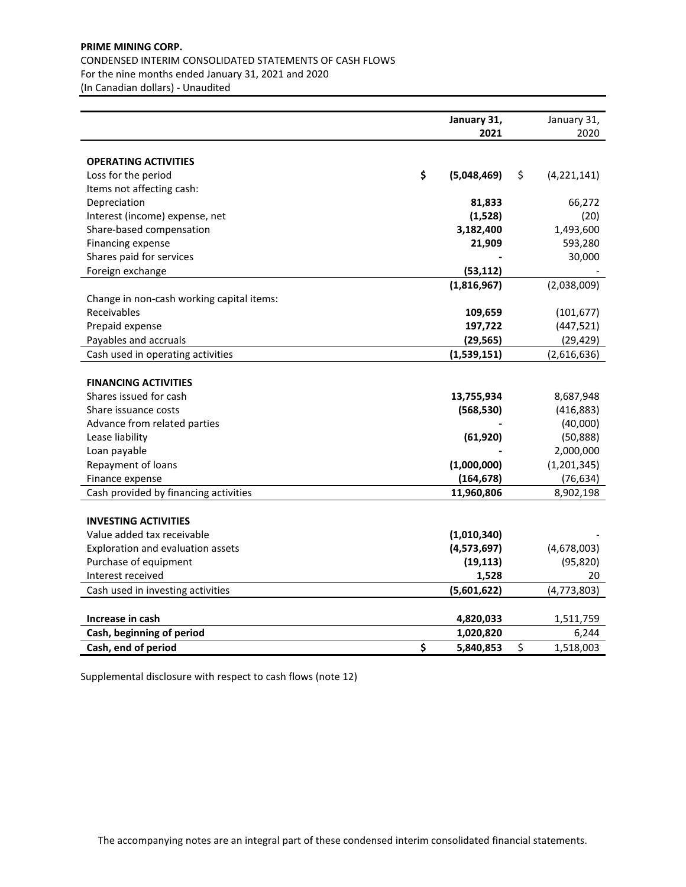# **PRIME MINING CORP.** CONDENSED INTERIM CONSOLIDATED STATEMENTS OF CASH FLOWS For the nine months ended January 31, 2021 and 2020

(In Canadian dollars) - Unaudited

| January 31,                                                         | January 31,              |
|---------------------------------------------------------------------|--------------------------|
| 2021                                                                | 2020                     |
|                                                                     |                          |
| <b>OPERATING ACTIVITIES</b><br>\$                                   |                          |
| Loss for the period<br>(5,048,469)                                  | \$<br>(4, 221, 141)      |
| Items not affecting cash:                                           |                          |
| Depreciation<br>81,833                                              | 66,272                   |
| Interest (income) expense, net<br>(1,528)                           | (20)                     |
| 3,182,400<br>Share-based compensation                               | 1,493,600<br>593,280     |
| Financing expense<br>21,909                                         |                          |
| Shares paid for services<br>(53, 112)                               | 30,000                   |
| Foreign exchange                                                    |                          |
| (1,816,967)                                                         | (2,038,009)              |
| Change in non-cash working capital items:<br>Receivables<br>109,659 | (101, 677)               |
| Prepaid expense<br>197,722                                          |                          |
| Payables and accruals<br>(29, 565)                                  | (447, 521)<br>(29, 429)  |
| Cash used in operating activities                                   |                          |
| (1,539,151)                                                         | (2,616,636)              |
| <b>FINANCING ACTIVITIES</b>                                         |                          |
| Shares issued for cash<br>13,755,934                                | 8,687,948                |
| Share issuance costs<br>(568, 530)                                  | (416, 883)               |
| Advance from related parties                                        | (40,000)                 |
| Lease liability<br>(61, 920)                                        | (50, 888)                |
| Loan payable                                                        | 2,000,000                |
| (1,000,000)<br>Repayment of loans                                   | (1,201,345)              |
| (164, 678)<br>Finance expense                                       | (76, 634)                |
| Cash provided by financing activities<br>11,960,806                 | 8,902,198                |
|                                                                     |                          |
| <b>INVESTING ACTIVITIES</b>                                         |                          |
| Value added tax receivable<br>(1,010,340)                           |                          |
| Exploration and evaluation assets<br>(4,573,697)                    | (4,678,003)              |
| Purchase of equipment<br>(19, 113)                                  | (95, 820)                |
| Interest received<br>1,528                                          | 20                       |
| (5,601,622)<br>Cash used in investing activities                    | (4, 773, 803)            |
|                                                                     |                          |
| Increase in cash<br>4,820,033                                       | 1,511,759                |
| Cash, beginning of period<br>1,020,820                              |                          |
| \$<br>Cash, end of period<br>5,840,853                              | 6,244<br>\$<br>1,518,003 |

Supplemental disclosure with respect to cash flows (note 12)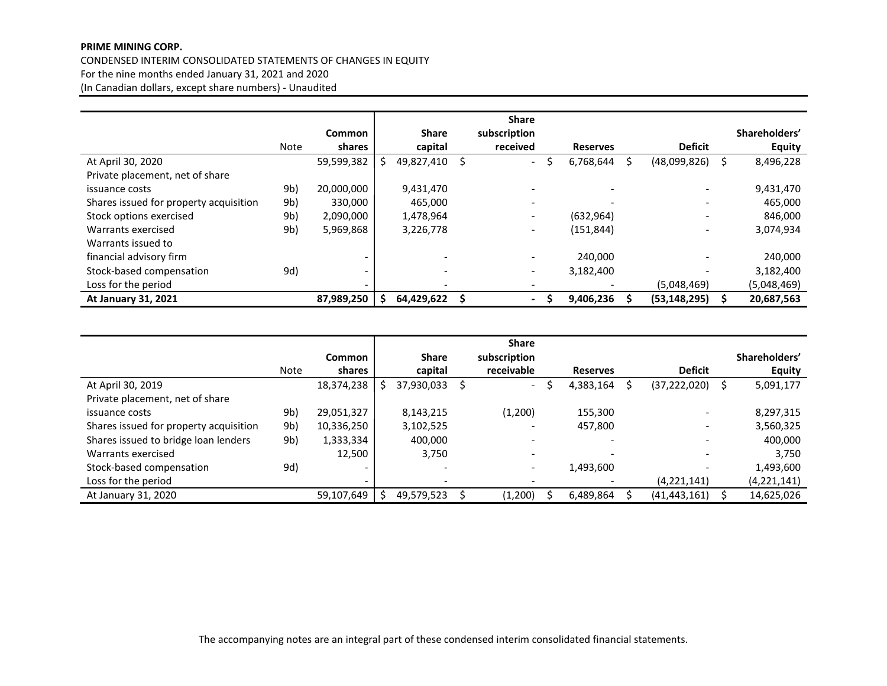# **PRIME MINING CORP.**

CONDENSED INTERIM CONSOLIDATED STATEMENTS OF CHANGES IN EQUITY For the nine months ended January 31, 2021 and 2020 (In Canadian dollars, except share numbers) - Unaudited

|                                        |             |                          |              |    | <b>Share</b>             |   |                 |                          |   |               |
|----------------------------------------|-------------|--------------------------|--------------|----|--------------------------|---|-----------------|--------------------------|---|---------------|
|                                        |             | <b>Common</b>            | <b>Share</b> |    | subscription             |   |                 |                          |   | Shareholders' |
|                                        | <b>Note</b> | shares                   | capital      |    | received                 |   | <b>Reserves</b> | <b>Deficit</b>           |   | <b>Equity</b> |
| At April 30, 2020                      |             | 59,599,382               | 49,827,410   | S. | $\overline{\phantom{a}}$ | S | 6,768,644       | (48,099,826)             | S | 8,496,228     |
| Private placement, net of share        |             |                          |              |    |                          |   |                 |                          |   |               |
| issuance costs                         | 9b)         | 20,000,000               | 9,431,470    |    | ۰                        |   |                 | $\qquad \qquad -$        |   | 9,431,470     |
| Shares issued for property acquisition | 9b)         | 330,000                  | 465,000      |    | $\overline{\phantom{a}}$ |   |                 | $\overline{\phantom{a}}$ |   | 465,000       |
| Stock options exercised                | 9b)         | 2,090,000                | 1,478,964    |    | $\overline{\phantom{a}}$ |   | (632, 964)      | $\overline{\phantom{a}}$ |   | 846,000       |
| Warrants exercised                     | 9b)         | 5,969,868                | 3,226,778    |    | $\overline{\phantom{a}}$ |   | (151, 844)      | $\overline{\phantom{a}}$ |   | 3,074,934     |
| Warrants issued to                     |             |                          |              |    |                          |   |                 |                          |   |               |
| financial advisory firm                |             |                          |              |    | $\overline{\phantom{a}}$ |   | 240,000         |                          |   | 240,000       |
| Stock-based compensation               | 9d)         |                          | -            |    | $\overline{\phantom{0}}$ |   | 3,182,400       | $\overline{\phantom{a}}$ |   | 3,182,400     |
| Loss for the period                    |             | $\overline{\phantom{0}}$ | -            |    | -                        |   |                 | (5,048,469)              |   | (5,048,469)   |
| At January 31, 2021                    |             | 87,989,250               | 64,429,622   |    | $\blacksquare$           |   | 9,406,236       | (53, 148, 295)           |   | 20,687,563    |

|                                        |             |                          |                          |   | <b>Share</b>             |                          |                          |               |
|----------------------------------------|-------------|--------------------------|--------------------------|---|--------------------------|--------------------------|--------------------------|---------------|
|                                        |             | <b>Common</b>            | <b>Share</b>             |   | subscription             |                          |                          | Shareholders' |
|                                        | <b>Note</b> | shares                   | capital                  |   | receivable               | <b>Reserves</b>          | <b>Deficit</b>           | <b>Equity</b> |
| At April 30, 2019                      |             | 18,374,238               | 37,930,033               | Ś | $\overline{\phantom{a}}$ | 4,383,164                | (37, 222, 020)           | 5,091,177     |
| Private placement, net of share        |             |                          |                          |   |                          |                          |                          |               |
| issuance costs                         | 9b)         | 29,051,327               | 8,143,215                |   | (1,200)                  | 155.300                  | $\overline{\phantom{0}}$ | 8,297,315     |
| Shares issued for property acquisition | 9b)         | 10,336,250               | 3,102,525                |   | $\overline{\phantom{a}}$ | 457,800                  | $\overline{\phantom{a}}$ | 3,560,325     |
| Shares issued to bridge loan lenders   | 9b)         | 1,333,334                | 400,000                  |   | $\overline{\phantom{0}}$ | $\overline{\phantom{a}}$ | ۰                        | 400,000       |
| Warrants exercised                     |             | 12,500                   | 3,750                    |   | $\overline{\phantom{a}}$ | $\overline{\phantom{0}}$ | $\overline{\phantom{a}}$ | 3,750         |
| Stock-based compensation               | 9d)         | $\overline{\phantom{0}}$ | -                        |   | $\overline{\phantom{a}}$ | 1,493,600                | -                        | 1,493,600     |
| Loss for the period                    |             | $\overline{\phantom{0}}$ | $\overline{\phantom{0}}$ |   | $\overline{\phantom{0}}$ |                          | (4,221,141)              | (4, 221, 141) |
| At January 31, 2020                    |             | 59,107,649               | 49,579,523               |   | (1,200)                  | 6,489,864                | (41, 443, 161)           | 14,625,026    |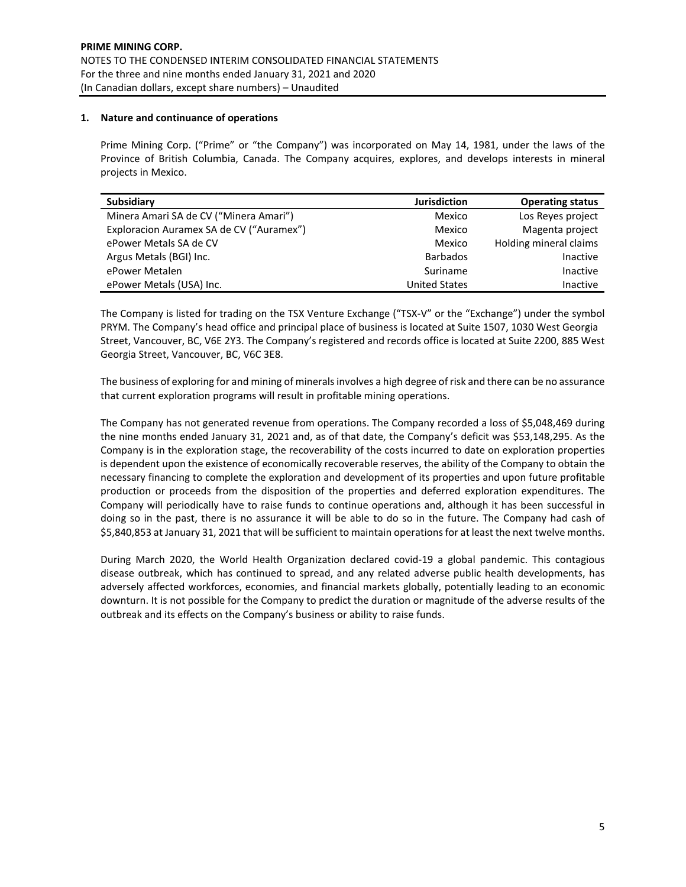# **1. Nature and continuance of operations**

Prime Mining Corp. ("Prime" or "the Company") was incorporated on May 14, 1981, under the laws of the Province of British Columbia, Canada. The Company acquires, explores, and develops interests in mineral projects in Mexico.

| <b>Subsidiary</b>                        | <b>Jurisdiction</b>  | <b>Operating status</b> |
|------------------------------------------|----------------------|-------------------------|
| Minera Amari SA de CV ("Minera Amari")   | Mexico               | Los Reyes project       |
| Exploracion Auramex SA de CV ("Auramex") | Mexico               | Magenta project         |
| ePower Metals SA de CV                   | Mexico               | Holding mineral claims  |
| Argus Metals (BGI) Inc.                  | <b>Barbados</b>      | Inactive                |
| ePower Metalen                           | Suriname             | Inactive                |
| ePower Metals (USA) Inc.                 | <b>United States</b> | Inactive                |

The Company is listed for trading on the TSX Venture Exchange ("TSX-V" or the "Exchange") under the symbol PRYM. The Company's head office and principal place of business is located at Suite 1507, 1030 West Georgia Street, Vancouver, BC, V6E 2Y3. The Company's registered and records office is located at Suite 2200, 885 West Georgia Street, Vancouver, BC, V6C 3E8.

The business of exploring for and mining of minerals involves a high degree of risk and there can be no assurance that current exploration programs will result in profitable mining operations.

The Company has not generated revenue from operations. The Company recorded a loss of \$5,048,469 during the nine months ended January 31, 2021 and, as of that date, the Company's deficit was \$53,148,295. As the Company is in the exploration stage, the recoverability of the costs incurred to date on exploration properties is dependent upon the existence of economically recoverable reserves, the ability of the Company to obtain the necessary financing to complete the exploration and development of its properties and upon future profitable production or proceeds from the disposition of the properties and deferred exploration expenditures. The Company will periodically have to raise funds to continue operations and, although it has been successful in doing so in the past, there is no assurance it will be able to do so in the future. The Company had cash of \$5,840,853 at January 31, 2021 that will be sufficient to maintain operations for at least the next twelve months.

During March 2020, the World Health Organization declared covid-19 a global pandemic. This contagious disease outbreak, which has continued to spread, and any related adverse public health developments, has adversely affected workforces, economies, and financial markets globally, potentially leading to an economic downturn. It is not possible for the Company to predict the duration or magnitude of the adverse results of the outbreak and its effects on the Company's business or ability to raise funds.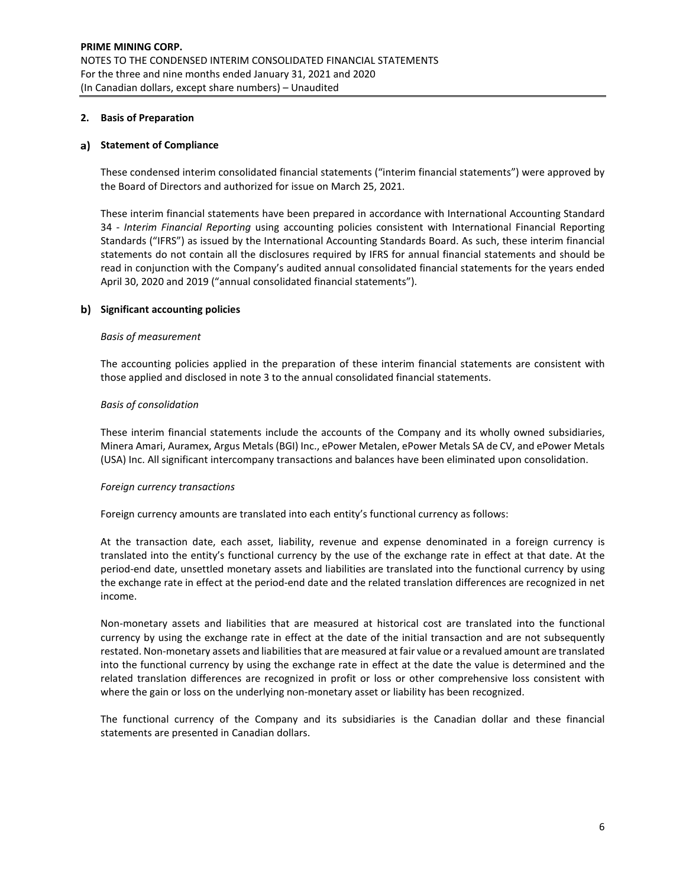# **2. Basis of Preparation**

# **a)** Statement of Compliance

These condensed interim consolidated financial statements ("interim financial statements") were approved by the Board of Directors and authorized for issue on March 25, 2021.

These interim financial statements have been prepared in accordance with International Accounting Standard 34 - *Interim Financial Reporting* using accounting policies consistent with International Financial Reporting Standards ("IFRS") as issued by the International Accounting Standards Board. As such, these interim financial statements do not contain all the disclosures required by IFRS for annual financial statements and should be read in conjunction with the Company's audited annual consolidated financial statements for the years ended April 30, 2020 and 2019 ("annual consolidated financial statements").

# **Significant accounting policies**

#### *Basis of measurement*

The accounting policies applied in the preparation of these interim financial statements are consistent with those applied and disclosed in note 3 to the annual consolidated financial statements.

#### *Basis of consolidation*

These interim financial statements include the accounts of the Company and its wholly owned subsidiaries, Minera Amari, Auramex, Argus Metals (BGI) Inc., ePower Metalen, ePower Metals SA de CV, and ePower Metals (USA) Inc. All significant intercompany transactions and balances have been eliminated upon consolidation.

#### *Foreign currency transactions*

Foreign currency amounts are translated into each entity's functional currency as follows:

At the transaction date, each asset, liability, revenue and expense denominated in a foreign currency is translated into the entity's functional currency by the use of the exchange rate in effect at that date. At the period-end date, unsettled monetary assets and liabilities are translated into the functional currency by using the exchange rate in effect at the period-end date and the related translation differences are recognized in net income.

Non-monetary assets and liabilities that are measured at historical cost are translated into the functional currency by using the exchange rate in effect at the date of the initial transaction and are not subsequently restated. Non-monetary assets and liabilities that are measured at fair value or a revalued amount are translated into the functional currency by using the exchange rate in effect at the date the value is determined and the related translation differences are recognized in profit or loss or other comprehensive loss consistent with where the gain or loss on the underlying non-monetary asset or liability has been recognized.

The functional currency of the Company and its subsidiaries is the Canadian dollar and these financial statements are presented in Canadian dollars.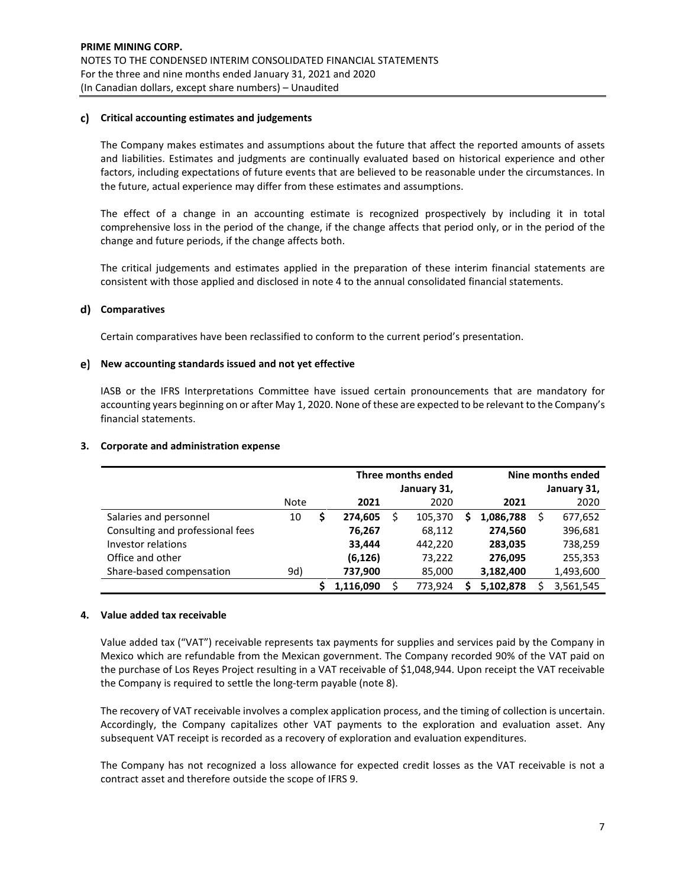#### **Critical accounting estimates and judgements**

The Company makes estimates and assumptions about the future that affect the reported amounts of assets and liabilities. Estimates and judgments are continually evaluated based on historical experience and other factors, including expectations of future events that are believed to be reasonable under the circumstances. In the future, actual experience may differ from these estimates and assumptions.

The effect of a change in an accounting estimate is recognized prospectively by including it in total comprehensive loss in the period of the change, if the change affects that period only, or in the period of the change and future periods, if the change affects both.

The critical judgements and estimates applied in the preparation of these interim financial statements are consistent with those applied and disclosed in note 4 to the annual consolidated financial statements.

# **Comparatives**

Certain comparatives have been reclassified to conform to the current period's presentation.

#### **New accounting standards issued and not yet effective**

IASB or the IFRS Interpretations Committee have issued certain pronouncements that are mandatory for accounting years beginning on or after May 1, 2020. None of these are expected to be relevant to the Company's financial statements.

#### **3. Corporate and administration expense**

|                                  |             |   |           | Three months ended | Nine months ended |           |  |           |
|----------------------------------|-------------|---|-----------|--------------------|-------------------|-----------|--|-----------|
|                                  |             |   |           | January 31,        | January 31,       |           |  |           |
|                                  | <b>Note</b> |   | 2021      | 2020               |                   | 2021      |  | 2020      |
| Salaries and personnel           | 10          | S | 274,605   | 105,370            | S                 | 1,086,788 |  | 677,652   |
| Consulting and professional fees |             |   | 76,267    | 68,112             |                   | 274,560   |  | 396,681   |
| Investor relations               |             |   | 33,444    | 442,220            |                   | 283,035   |  | 738,259   |
| Office and other                 |             |   | (6, 126)  | 73,222             |                   | 276,095   |  | 255,353   |
| Share-based compensation         | 9d)         |   | 737,900   | 85,000             |                   | 3,182,400 |  | 1,493,600 |
|                                  |             |   | 1.116.090 | 773.924            |                   | 5,102,878 |  | 3,561,545 |

# **4. Value added tax receivable**

Value added tax ("VAT") receivable represents tax payments for supplies and services paid by the Company in Mexico which are refundable from the Mexican government. The Company recorded 90% of the VAT paid on the purchase of Los Reyes Project resulting in a VAT receivable of \$1,048,944. Upon receipt the VAT receivable the Company is required to settle the long-term payable (note 8).

The recovery of VAT receivable involves a complex application process, and the timing of collection is uncertain. Accordingly, the Company capitalizes other VAT payments to the exploration and evaluation asset. Any subsequent VAT receipt is recorded as a recovery of exploration and evaluation expenditures.

The Company has not recognized a loss allowance for expected credit losses as the VAT receivable is not a contract asset and therefore outside the scope of IFRS 9.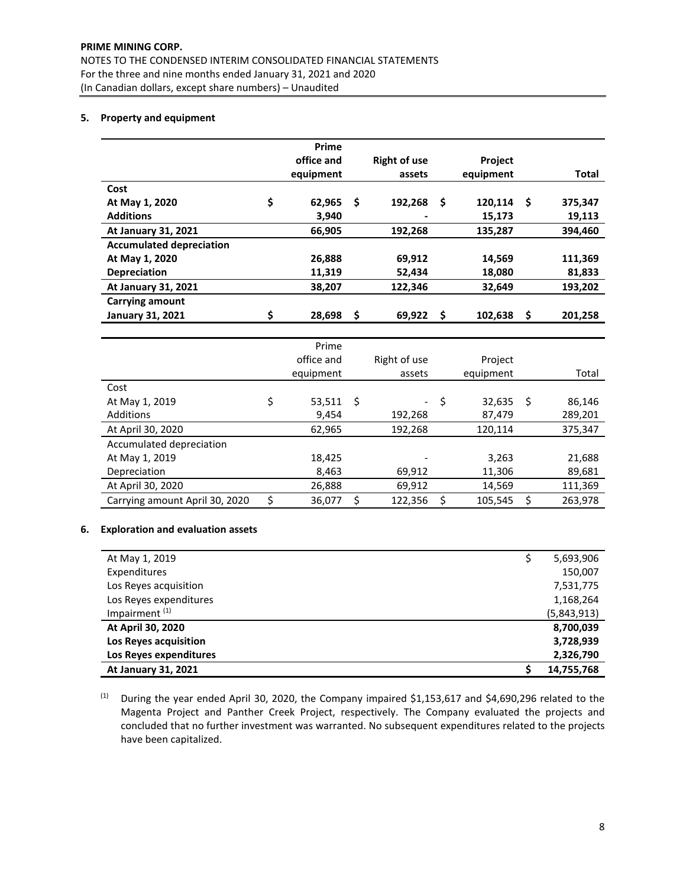# **PRIME MINING CORP.**

NOTES TO THE CONDENSED INTERIM CONSOLIDATED FINANCIAL STATEMENTS For the three and nine months ended January 31, 2021 and 2020 (In Canadian dollars, except share numbers) – Unaudited

# **5. Property and equipment**

|                                 | Prime        |    |                     |   |           |          |              |
|---------------------------------|--------------|----|---------------------|---|-----------|----------|--------------|
|                                 | office and   |    | <b>Right of use</b> |   | Project   |          |              |
|                                 | equipment    |    | assets              |   | equipment |          | <b>Total</b> |
| Cost                            |              |    |                     |   |           |          |              |
| At May 1, 2020                  | \$<br>62.965 | Ŝ  | 192,268             | S | 120,114   | <b>S</b> | 375,347      |
| <b>Additions</b>                | 3,940        |    |                     |   | 15,173    |          | 19,113       |
| At January 31, 2021             | 66.905       |    | 192,268             |   | 135,287   |          | 394,460      |
| <b>Accumulated depreciation</b> |              |    |                     |   |           |          |              |
| At May 1, 2020                  | 26,888       |    | 69,912              |   | 14,569    |          | 111,369      |
| <b>Depreciation</b>             | 11,319       |    | 52,434              |   | 18,080    |          | 81,833       |
| At January 31, 2021             | 38,207       |    | 122,346             |   | 32,649    |          | 193,202      |
| <b>Carrying amount</b>          |              |    |                     |   |           |          |              |
| <b>January 31, 2021</b>         | \$<br>28.698 | \$ | 69,922              | Ŝ | 102,638   | \$       | 201,258      |
|                                 |              |    |                     |   |           |          |              |

|                                | Prime        |     |                          |               |    |         |
|--------------------------------|--------------|-----|--------------------------|---------------|----|---------|
|                                | office and   |     | Right of use             | Project       |    |         |
|                                | equipment    |     | assets                   | equipment     |    | Total   |
| Cost                           |              |     |                          |               |    |         |
| At May 1, 2019                 | \$<br>53,511 | -\$ | $\overline{\phantom{0}}$ | \$<br>32,635  | -S | 86,146  |
| Additions                      | 9,454        |     | 192,268                  | 87,479        |    | 289,201 |
| At April 30, 2020              | 62,965       |     | 192,268                  | 120,114       |    | 375,347 |
| Accumulated depreciation       |              |     |                          |               |    |         |
| At May 1, 2019                 | 18,425       |     |                          | 3,263         |    | 21,688  |
| Depreciation                   | 8,463        |     | 69,912                   | 11,306        |    | 89,681  |
| At April 30, 2020              | 26,888       |     | 69,912                   | 14,569        |    | 111,369 |
| Carrying amount April 30, 2020 | 36,077       | Ś   | 122,356                  | \$<br>105,545 |    | 263,978 |

# **6. Exploration and evaluation assets**

| At May 1, 2019            | 5,693,906   |
|---------------------------|-------------|
| Expenditures              | 150,007     |
| Los Reyes acquisition     | 7,531,775   |
| Los Reyes expenditures    | 1,168,264   |
| Impairment <sup>(1)</sup> | (5,843,913) |
| At April 30, 2020         | 8,700,039   |
| Los Reyes acquisition     | 3,728,939   |
| Los Reyes expenditures    | 2,326,790   |
| At January 31, 2021       | 14,755,768  |

(1) During the year ended April 30, 2020, the Company impaired \$1,153,617 and \$4,690,296 related to the Magenta Project and Panther Creek Project, respectively. The Company evaluated the projects and concluded that no further investment was warranted. No subsequent expenditures related to the projects have been capitalized.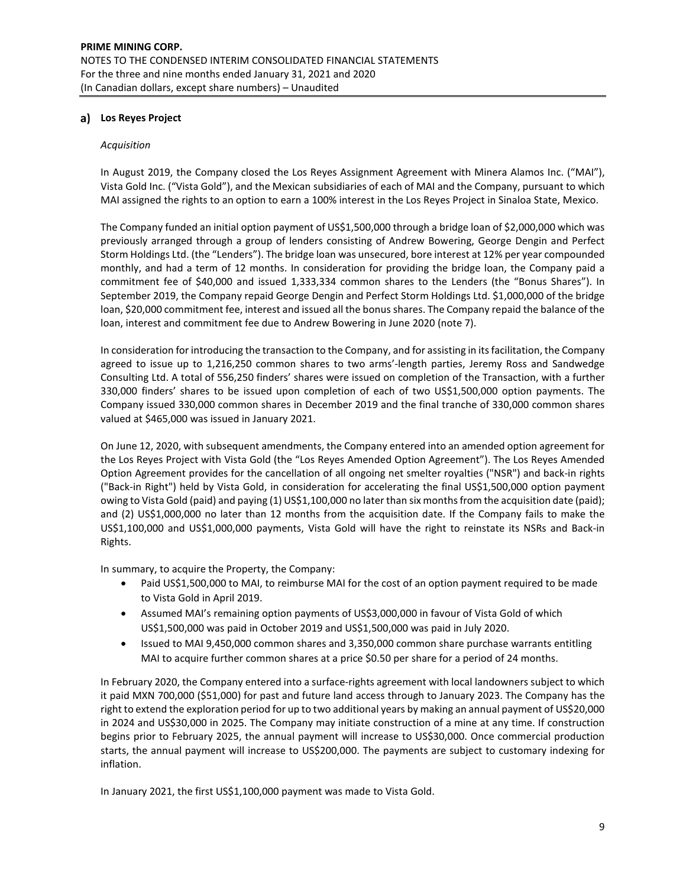# **Los Reyes Project**

#### *Acquisition*

In August 2019, the Company closed the Los Reyes Assignment Agreement with Minera Alamos Inc. ("MAI"), Vista Gold Inc. ("Vista Gold"), and the Mexican subsidiaries of each of MAI and the Company, pursuant to which MAI assigned the rights to an option to earn a 100% interest in the Los Reyes Project in Sinaloa State, Mexico.

The Company funded an initial option payment of US\$1,500,000 through a bridge loan of \$2,000,000 which was previously arranged through a group of lenders consisting of Andrew Bowering, George Dengin and Perfect Storm Holdings Ltd. (the "Lenders"). The bridge loan was unsecured, bore interest at 12% per year compounded monthly, and had a term of 12 months. In consideration for providing the bridge loan, the Company paid a commitment fee of \$40,000 and issued 1,333,334 common shares to the Lenders (the "Bonus Shares"). In September 2019, the Company repaid George Dengin and Perfect Storm Holdings Ltd. \$1,000,000 of the bridge loan, \$20,000 commitment fee, interest and issued all the bonus shares. The Company repaid the balance of the loan, interest and commitment fee due to Andrew Bowering in June 2020 (note 7).

In consideration for introducing the transaction to the Company, and for assisting in its facilitation, the Company agreed to issue up to 1,216,250 common shares to two arms'-length parties, Jeremy Ross and Sandwedge Consulting Ltd. A total of 556,250 finders' shares were issued on completion of the Transaction, with a further 330,000 finders' shares to be issued upon completion of each of two US\$1,500,000 option payments. The Company issued 330,000 common shares in December 2019 and the final tranche of 330,000 common shares valued at \$465,000 was issued in January 2021.

On June 12, 2020, with subsequent amendments, the Company entered into an amended option agreement for the Los Reyes Project with Vista Gold (the "Los Reyes Amended Option Agreement"). The Los Reyes Amended Option Agreement provides for the cancellation of all ongoing net smelter royalties ("NSR") and back-in rights ("Back-in Right") held by Vista Gold, in consideration for accelerating the final US\$1,500,000 option payment owing to Vista Gold (paid) and paying (1) US\$1,100,000 no later than six months from the acquisition date (paid); and (2) US\$1,000,000 no later than 12 months from the acquisition date. If the Company fails to make the US\$1,100,000 and US\$1,000,000 payments, Vista Gold will have the right to reinstate its NSRs and Back-in Rights.

In summary, to acquire the Property, the Company:

- Paid US\$1,500,000 to MAI, to reimburse MAI for the cost of an option payment required to be made to Vista Gold in April 2019.
- Assumed MAI's remaining option payments of US\$3,000,000 in favour of Vista Gold of which US\$1,500,000 was paid in October 2019 and US\$1,500,000 was paid in July 2020.
- Issued to MAI 9,450,000 common shares and 3,350,000 common share purchase warrants entitling MAI to acquire further common shares at a price \$0.50 per share for a period of 24 months.

In February 2020, the Company entered into a surface-rights agreement with local landowners subject to which it paid MXN 700,000 (\$51,000) for past and future land access through to January 2023. The Company has the right to extend the exploration period for up to two additional years by making an annual payment of US\$20,000 in 2024 and US\$30,000 in 2025. The Company may initiate construction of a mine at any time. If construction begins prior to February 2025, the annual payment will increase to US\$30,000. Once commercial production starts, the annual payment will increase to US\$200,000. The payments are subject to customary indexing for inflation.

In January 2021, the first US\$1,100,000 payment was made to Vista Gold.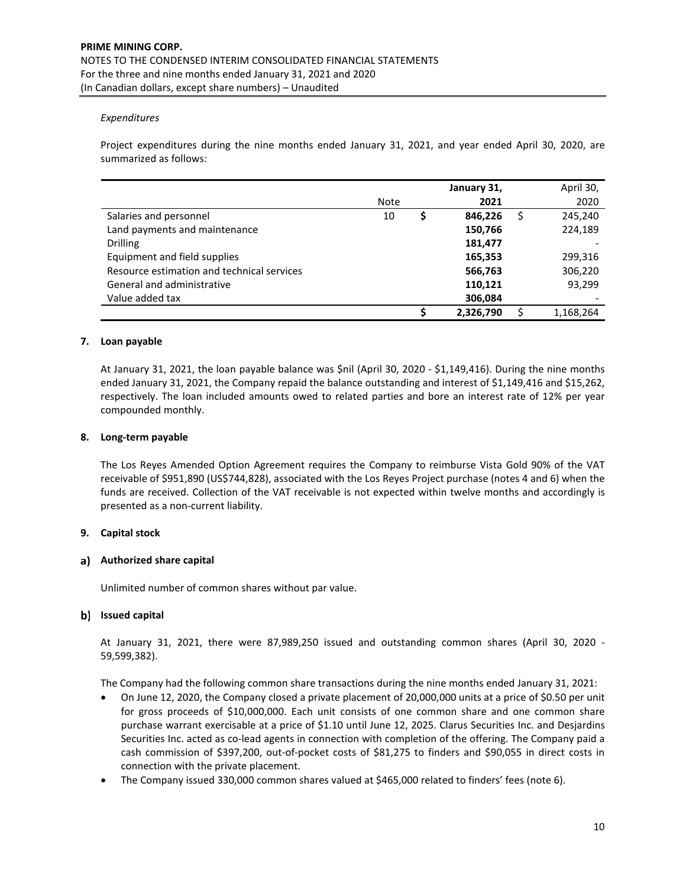# *Expenditures*

Project expenditures during the nine months ended January 31, 2021, and year ended April 30, 2020, are summarized as follows:

|                                            |      |   | January 31, | April 30,     |
|--------------------------------------------|------|---|-------------|---------------|
|                                            | Note |   | 2021        | 2020          |
| Salaries and personnel                     | 10   | S | 846,226     | \$<br>245,240 |
| Land payments and maintenance              |      |   | 150,766     | 224,189       |
| <b>Drilling</b>                            |      |   | 181,477     |               |
| Equipment and field supplies               |      |   | 165,353     | 299,316       |
| Resource estimation and technical services |      |   | 566,763     | 306,220       |
| General and administrative                 |      |   | 110,121     | 93.299        |
| Value added tax                            |      |   | 306,084     |               |
|                                            |      |   | 2,326,790   | 1,168,264     |

# **7. Loan payable**

At January 31, 2021, the loan payable balance was \$nil (April 30, 2020 - \$1,149,416). During the nine months ended January 31, 2021, the Company repaid the balance outstanding and interest of \$1,149,416 and \$15,262, respectively. The loan included amounts owed to related parties and bore an interest rate of 12% per year compounded monthly.

#### **8. Long-term payable**

The Los Reyes Amended Option Agreement requires the Company to reimburse Vista Gold 90% of the VAT receivable of \$951,890 (US\$744,828), associated with the Los Reyes Project purchase (notes 4 and 6) when the funds are received. Collection of the VAT receivable is not expected within twelve months and accordingly is presented as a non-current liability.

#### **9. Capital stock**

# **Authorized share capital**

Unlimited number of common shares without par value.

#### **Issued capital**

At January 31, 2021, there were 87,989,250 issued and outstanding common shares (April 30, 2020 - 59,599,382).

The Company had the following common share transactions during the nine months ended January 31, 2021:

- On June 12, 2020, the Company closed a private placement of 20,000,000 units at a price of \$0.50 per unit for gross proceeds of \$10,000,000. Each unit consists of one common share and one common share purchase warrant exercisable at a price of \$1.10 until June 12, 2025. Clarus Securities Inc. and Desjardins Securities Inc. acted as co-lead agents in connection with completion of the offering. The Company paid a cash commission of \$397,200, out-of-pocket costs of \$81,275 to finders and \$90,055 in direct costs in connection with the private placement.
- The Company issued 330,000 common shares valued at \$465,000 related to finders' fees (note 6).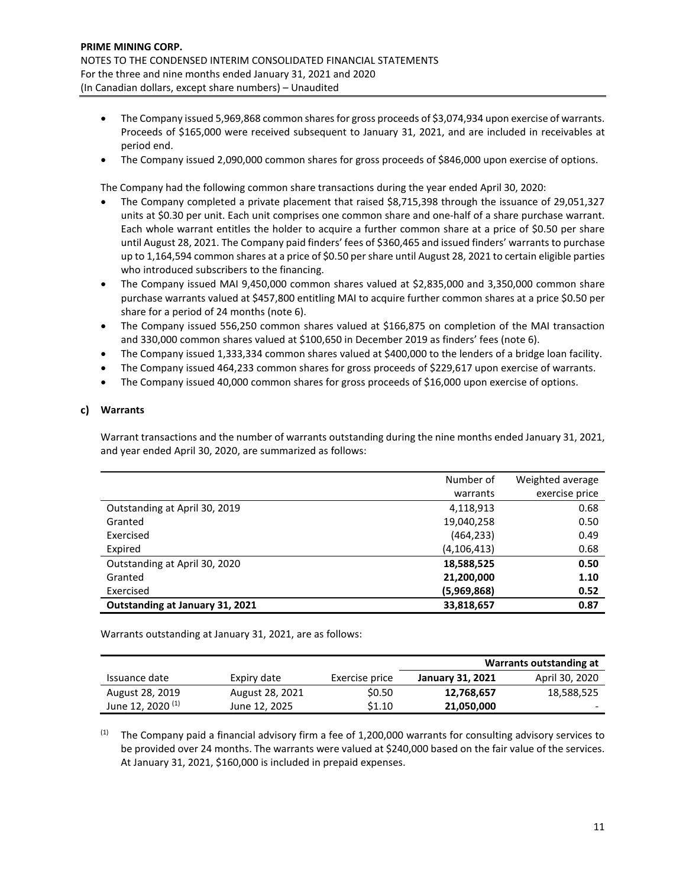- The Company issued 5,969,868 common shares for gross proceeds of \$3,074,934 upon exercise of warrants. Proceeds of \$165,000 were received subsequent to January 31, 2021, and are included in receivables at period end.
- The Company issued 2,090,000 common shares for gross proceeds of \$846,000 upon exercise of options.

The Company had the following common share transactions during the year ended April 30, 2020:

- The Company completed a private placement that raised \$8,715,398 through the issuance of 29,051,327 units at \$0.30 per unit. Each unit comprises one common share and one-half of a share purchase warrant. Each whole warrant entitles the holder to acquire a further common share at a price of \$0.50 per share until August 28, 2021. The Company paid finders' fees of \$360,465 and issued finders' warrants to purchase up to 1,164,594 common shares at a price of \$0.50 per share until August 28, 2021 to certain eligible parties who introduced subscribers to the financing.
- The Company issued MAI 9,450,000 common shares valued at \$2,835,000 and 3,350,000 common share purchase warrants valued at \$457,800 entitling MAI to acquire further common shares at a price \$0.50 per share for a period of 24 months (note 6).
- The Company issued 556,250 common shares valued at \$166,875 on completion of the MAI transaction and 330,000 common shares valued at \$100,650 in December 2019 as finders' fees (note 6).
- The Company issued 1,333,334 common shares valued at \$400,000 to the lenders of a bridge loan facility.
- The Company issued 464,233 common shares for gross proceeds of \$229,617 upon exercise of warrants.
- The Company issued 40,000 common shares for gross proceeds of \$16,000 upon exercise of options.

# **Warrants**

Warrant transactions and the number of warrants outstanding during the nine months ended January 31, 2021, and year ended April 30, 2020, are summarized as follows:

|                                 | Number of     | Weighted average |
|---------------------------------|---------------|------------------|
|                                 | warrants      | exercise price   |
| Outstanding at April 30, 2019   | 4,118,913     | 0.68             |
| Granted                         | 19,040,258    | 0.50             |
| Exercised                       | (464, 233)    | 0.49             |
| Expired                         | (4, 106, 413) | 0.68             |
| Outstanding at April 30, 2020   | 18,588,525    | 0.50             |
| Granted                         | 21,200,000    | 1.10             |
| Exercised                       | (5,969,868)   | 0.52             |
| Outstanding at January 31, 2021 | 33,818,657    | 0.87             |

Warrants outstanding at January 31, 2021, are as follows:

|                              |                 |                | Warrants outstanding at |                          |  |  |
|------------------------------|-----------------|----------------|-------------------------|--------------------------|--|--|
| Issuance date                | Expiry date     | Exercise price | January 31, 2021        | April 30, 2020           |  |  |
| August 28, 2019              | August 28, 2021 | \$0.50         | 12,768,657              | 18,588,525               |  |  |
| June 12, 2020 <sup>(1)</sup> | June 12, 2025   | \$1.10         | 21,050,000              | $\overline{\phantom{0}}$ |  |  |

 $(1)$  The Company paid a financial advisory firm a fee of 1,200,000 warrants for consulting advisory services to be provided over 24 months. The warrants were valued at \$240,000 based on the fair value of the services. At January 31, 2021, \$160,000 is included in prepaid expenses.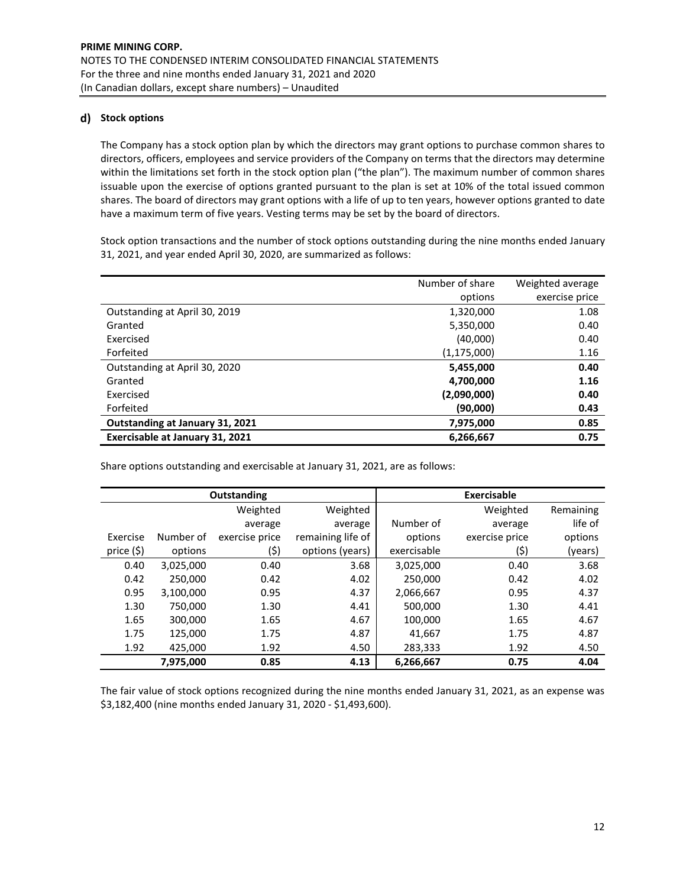# **Stock options**

The Company has a stock option plan by which the directors may grant options to purchase common shares to directors, officers, employees and service providers of the Company on terms that the directors may determine within the limitations set forth in the stock option plan ("the plan"). The maximum number of common shares issuable upon the exercise of options granted pursuant to the plan is set at 10% of the total issued common shares. The board of directors may grant options with a life of up to ten years, however options granted to date have a maximum term of five years. Vesting terms may be set by the board of directors.

Stock option transactions and the number of stock options outstanding during the nine months ended January 31, 2021, and year ended April 30, 2020, are summarized as follows:

|                                 | Number of share | Weighted average |
|---------------------------------|-----------------|------------------|
|                                 | options         | exercise price   |
| Outstanding at April 30, 2019   | 1,320,000       | 1.08             |
| Granted                         | 5,350,000       | 0.40             |
| Exercised                       | (40,000)        | 0.40             |
| Forfeited                       | (1, 175, 000)   | 1.16             |
| Outstanding at April 30, 2020   | 5,455,000       | 0.40             |
| Granted                         | 4,700,000       | 1.16             |
| Exercised                       | (2,090,000)     | 0.40             |
| Forfeited                       | (90,000)        | 0.43             |
| Outstanding at January 31, 2021 | 7,975,000       | 0.85             |
| Exercisable at January 31, 2021 | 6,266,667       | 0.75             |

Share options outstanding and exercisable at January 31, 2021, are as follows:

| Outstanding |           |                |                   | <b>Exercisable</b> |                |           |
|-------------|-----------|----------------|-------------------|--------------------|----------------|-----------|
|             |           | Weighted       | Weighted          |                    | Weighted       | Remaining |
|             |           | average        | average           | Number of          | average        | life of   |
| Exercise    | Number of | exercise price | remaining life of | options            | exercise price | options   |
| price (\$)  | options   | (\$)           | options (years)   | exercisable        | (\$)           | (years)   |
| 0.40        | 3,025,000 | 0.40           | 3.68              | 3,025,000          | 0.40           | 3.68      |
| 0.42        | 250.000   | 0.42           | 4.02              | 250,000            | 0.42           | 4.02      |
| 0.95        | 3,100,000 | 0.95           | 4.37              | 2,066,667          | 0.95           | 4.37      |
| 1.30        | 750,000   | 1.30           | 4.41              | 500,000            | 1.30           | 4.41      |
| 1.65        | 300,000   | 1.65           | 4.67              | 100,000            | 1.65           | 4.67      |
| 1.75        | 125.000   | 1.75           | 4.87              | 41.667             | 1.75           | 4.87      |
| 1.92        | 425,000   | 1.92           | 4.50              | 283,333            | 1.92           | 4.50      |
|             | 7,975,000 | 0.85           | 4.13              | 6,266,667          | 0.75           | 4.04      |

The fair value of stock options recognized during the nine months ended January 31, 2021, as an expense was \$3,182,400 (nine months ended January 31, 2020 - \$1,493,600).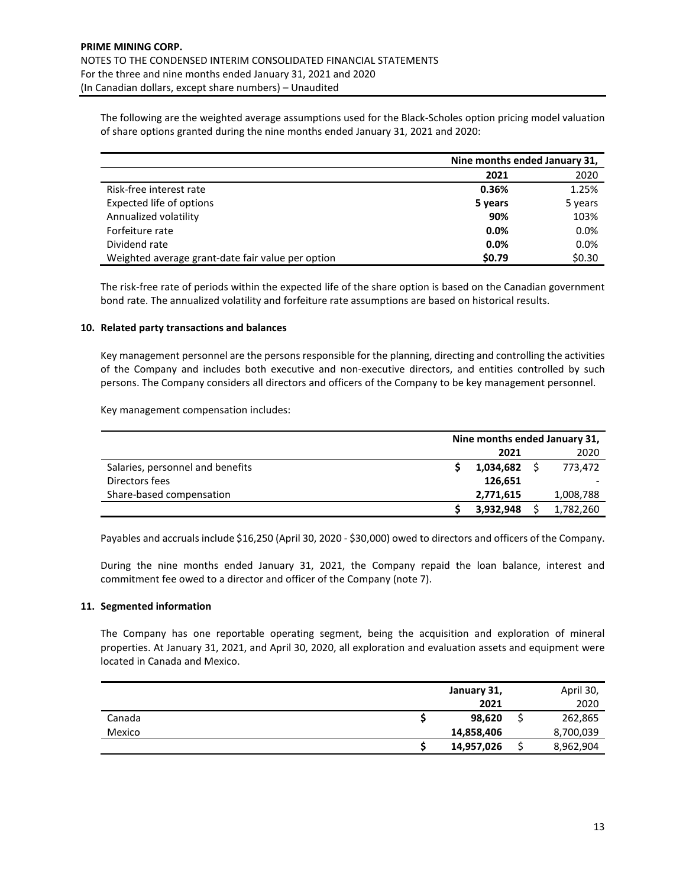The following are the weighted average assumptions used for the Black-Scholes option pricing model valuation of share options granted during the nine months ended January 31, 2021 and 2020:

|                                                   | Nine months ended January 31, |         |
|---------------------------------------------------|-------------------------------|---------|
|                                                   | 2021                          | 2020    |
| Risk-free interest rate                           | 0.36%                         | 1.25%   |
| Expected life of options                          | 5 years                       | 5 years |
| Annualized volatility                             | 90%                           | 103%    |
| Forfeiture rate                                   | 0.0%                          | 0.0%    |
| Dividend rate                                     | 0.0%                          | 0.0%    |
| Weighted average grant-date fair value per option | \$0.79                        | \$0.30  |

The risk-free rate of periods within the expected life of the share option is based on the Canadian government bond rate. The annualized volatility and forfeiture rate assumptions are based on historical results.

# **10. Related party transactions and balances**

Key management personnel are the persons responsible for the planning, directing and controlling the activities of the Company and includes both executive and non-executive directors, and entities controlled by such persons. The Company considers all directors and officers of the Company to be key management personnel.

Key management compensation includes:

|                                  | Nine months ended January 31, |           |  |           |
|----------------------------------|-------------------------------|-----------|--|-----------|
|                                  |                               | 2021      |  | 2020      |
| Salaries, personnel and benefits |                               | 1,034,682 |  | 773.472   |
| Directors fees                   |                               | 126.651   |  |           |
| Share-based compensation         |                               | 2,771,615 |  | 1,008,788 |
|                                  |                               | 3,932,948 |  | 1,782,260 |

Payables and accruals include \$16,250 (April 30, 2020 - \$30,000) owed to directors and officers of the Company.

During the nine months ended January 31, 2021, the Company repaid the loan balance, interest and commitment fee owed to a director and officer of the Company (note 7).

# **11. Segmented information**

The Company has one reportable operating segment, being the acquisition and exploration of mineral properties. At January 31, 2021, and April 30, 2020, all exploration and evaluation assets and equipment were located in Canada and Mexico.

|        | January 31, | April 30, |
|--------|-------------|-----------|
|        | 2021        | 2020      |
| Canada | 98,620      | 262,865   |
| Mexico | 14,858,406  | 8,700,039 |
|        | 14,957,026  | 8,962,904 |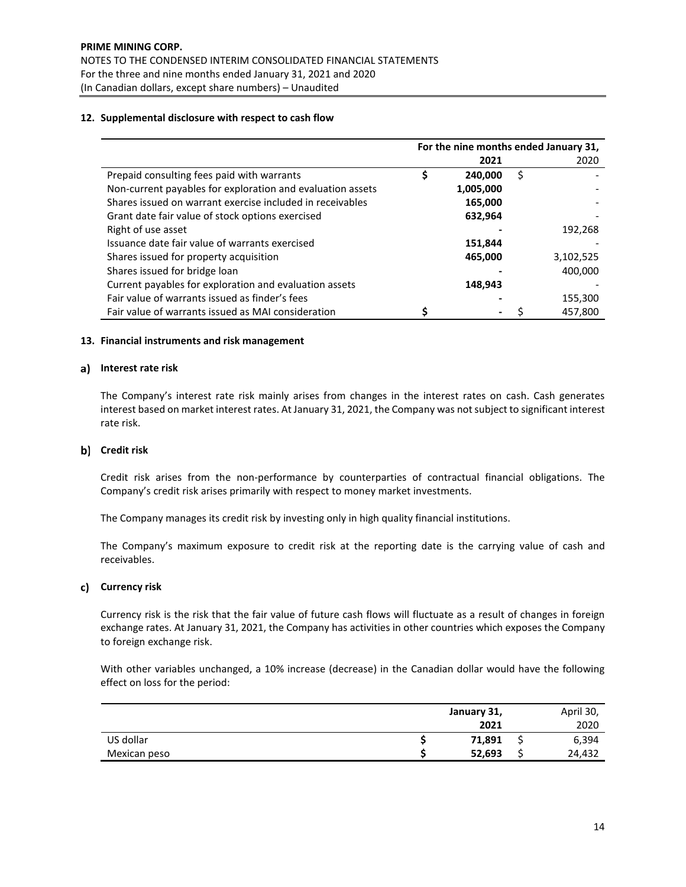# **12. Supplemental disclosure with respect to cash flow**

|                                                            | For the nine months ended January 31, |           |    |           |
|------------------------------------------------------------|---------------------------------------|-----------|----|-----------|
|                                                            |                                       | 2021      |    | 2020      |
| Prepaid consulting fees paid with warrants                 | \$                                    | 240,000   | \$ |           |
| Non-current payables for exploration and evaluation assets |                                       | 1,005,000 |    |           |
| Shares issued on warrant exercise included in receivables  |                                       | 165,000   |    |           |
| Grant date fair value of stock options exercised           |                                       | 632,964   |    |           |
| Right of use asset                                         |                                       |           |    | 192,268   |
| Issuance date fair value of warrants exercised             |                                       | 151,844   |    |           |
| Shares issued for property acquisition                     |                                       | 465,000   |    | 3,102,525 |
| Shares issued for bridge loan                              |                                       |           |    | 400,000   |
| Current payables for exploration and evaluation assets     |                                       | 148,943   |    |           |
| Fair value of warrants issued as finder's fees             |                                       |           |    | 155,300   |
| Fair value of warrants issued as MAI consideration         |                                       |           |    | 457.800   |

#### **13. Financial instruments and risk management**

#### **Interest rate risk**

The Company's interest rate risk mainly arises from changes in the interest rates on cash. Cash generates interest based on market interest rates. At January 31, 2021, the Company was not subject to significant interest rate risk.

# **Credit risk**

Credit risk arises from the non-performance by counterparties of contractual financial obligations. The Company's credit risk arises primarily with respect to money market investments.

The Company manages its credit risk by investing only in high quality financial institutions.

The Company's maximum exposure to credit risk at the reporting date is the carrying value of cash and receivables.

#### **Currency risk**

Currency risk is the risk that the fair value of future cash flows will fluctuate as a result of changes in foreign exchange rates. At January 31, 2021, the Company has activities in other countries which exposes the Company to foreign exchange risk.

With other variables unchanged, a 10% increase (decrease) in the Canadian dollar would have the following effect on loss for the period:

|              | January 31, | April 30, |
|--------------|-------------|-----------|
|              | 2021        | 2020      |
| US dollar    | 71,891      | 6,394     |
| Mexican peso | 52,693      | 24.432    |